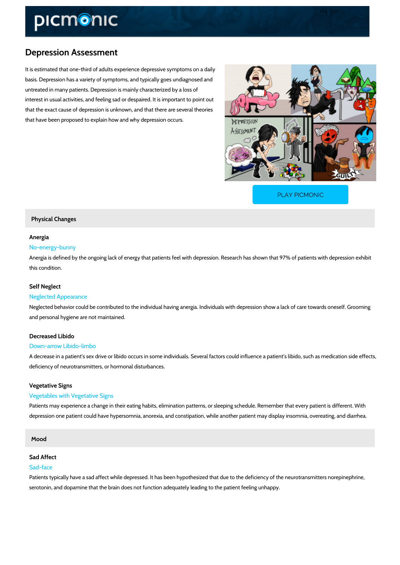# Depression Assessment

It is estimated that one-third of adults experience depressive symptoms on a daily basis. Depression has a variety of symptoms, and typically goes undiagnosed and untreated in many patients. Depression is mainly characterized by a loss of interest in usual activities, and feeling sad or despaired. It is important to point out that the exact cause of depression is unknown, and that there are several theories that have been proposed to explain how and why depression occurs.

[PLAY PICMONIC](https://www.picmonic.com/learn/depression-assessment_1548?utm_source=downloadable_content&utm_medium=distributedcontent&utm_campaign=pathways_pdf&utm_content=Depression Assessment&utm_ad_group=leads&utm_market=all)

## Physical Changes

## Anergia

## No-energy-bunny

Anergia is defined by the ongoing lack of energy that patients feel with depression. Research this condition.

#### Self Neglect

#### Neglected Appearance

Neglected behavior could be contributed to the individual having anergia. Individuals with dep and personal hygiene are not maintained.

## Decreased Libido

#### Down-arrow Libido-limbo

A decrease in a patient s sex drive or libido occurs in some individuals. Several factors could deficiency of neurotransmitters, or hormonal disturbances.

#### Vegetative Signs

#### Vegetables with Vegetative Signs

Patients may experience a change in their eating habits, elimination patterns, or sleeping sch depression one patient could have hypersomnia, anorexia, and constipation, while another pat

## Mood

#### Sad Affect

#### Sad-face

Patients typically have a sad affect while depressed. It has been hypothesized that due to the serotonin, and dopamine that the brain does not function adequately leading to the patient fee